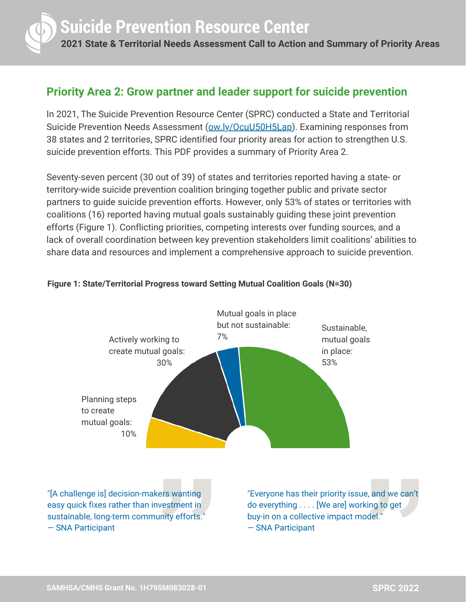

## **Priority Area 2: Grow partner and leader support for suicide prevention**

In 2021, The Suicide Prevention Resource Center (SPRC) conducted a State and Territorial Suicide Prevention Needs Assessment [\(ow.ly/OcuU50H5Lap\)](http://ow.ly/OcuU50H5Lap). Examining responses from 38 states and 2 territories, SPRC identified four priority areas for action to strengthen U.S. suicide prevention efforts. This PDF provides a summary of Priority Area 2.

Seventy-seven percent (30 out of 39) of states and territories reported having a state- or territory-wide suicide prevention coalition bringing together public and private sector partners to guide suicide prevention efforts. However, only 53% of states or territories with coalitions (16) reported having mutual goals sustainably guiding these joint prevention efforts (Figure 1). Conflicting priorities, competing interests over funding sources, and a lack of overall coordination between key prevention stakeholders limit coalitions' abilities to share data and resources and implement a comprehensive approach to suicide prevention.



## **Figure 1: State/Territorial Progress toward Setting Mutual Coalition Goals (N=30)**

"[A challenge is] decision-makers wanting easy quick fixes rather than investment in sustainable, long-term community efforts." — SNA Participant

"Everyone has their priority issue, and we can't do everything . . . . [We are] working to get buy-in on a collective impact model." — SNA Participant